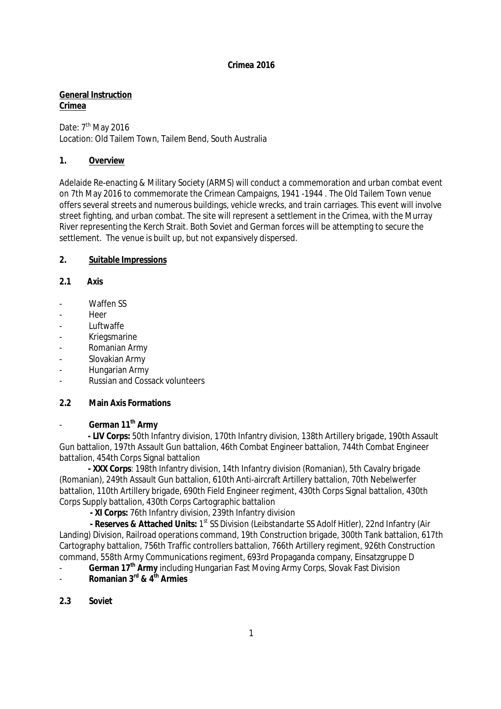**General Instruction Crimea** 

Date: 7<sup>th</sup> May 2016 Location: Old Tailem Town, Tailem Bend, South Australia

#### **1. Overview**

Adelaide Re-enacting & Military Society (ARMS) will conduct a commemoration and urban combat event on 7th May 2016 to commemorate the Crimean Campaigns, 1941 -1944 . The Old Tailem Town venue offers several streets and numerous buildings, vehicle wrecks, and train carriages. This event will involve street fighting, and urban combat. The site will represent a settlement in the Crimea, with the Murray River representing the Kerch Strait. Both Soviet and German forces will be attempting to secure the settlement. The venue is built up, but not expansively dispersed.

#### **2. Suitable Impressions**

- **2.1 Axis**
- Waffen SS
- Heer
- **Luftwaffe**
- Kriegsmarine
- Romanian Army
- Slovakian Army
- Hungarian Army
- Russian and Cossack volunteers

## **2.2 Main Axis Formations**

- **German 11th Army**

 **- LIV Corps:** 50th Infantry division, 170th Infantry division, 138th Artillery brigade, 190th Assault Gun battalion, 197th Assault Gun battalion, 46th Combat Engineer battalion, 744th Combat Engineer battalion, 454th Corps Signal battalion

 **- XXX Corps**: 198th Infantry division, 14th Infantry division (Romanian), 5th Cavalry brigade (Romanian), 249th Assault Gun battalion, 610th Anti-aircraft Artillery battalion, 70th Nebelwerfer battalion, 110th Artillery brigade, 690th Field Engineer regiment, 430th Corps Signal battalion, 430th Corps Supply battalion, 430th Corps Cartographic battalion

**- XI Corps:** 76th Infantry division, 239th Infantry division

 **- Reserves & Attached Units:** 1st SS Division (Leibstandarte SS Adolf Hitler), 22nd Infantry (Air Landing) Division, Railroad operations command, 19th Construction brigade, 300th Tank battalion, 617th Cartography battalion, 756th Traffic controllers battalion, 766th Artillery regiment, 926th Construction command, 558th Army Communications regiment, 693rd Propaganda company, Einsatzgruppe D

- **German 17th Army** including Hungarian Fast Moving Army Corps, Slovak Fast Division

- **Romanian 3rd & 4th Armies**
- **2.3 Soviet**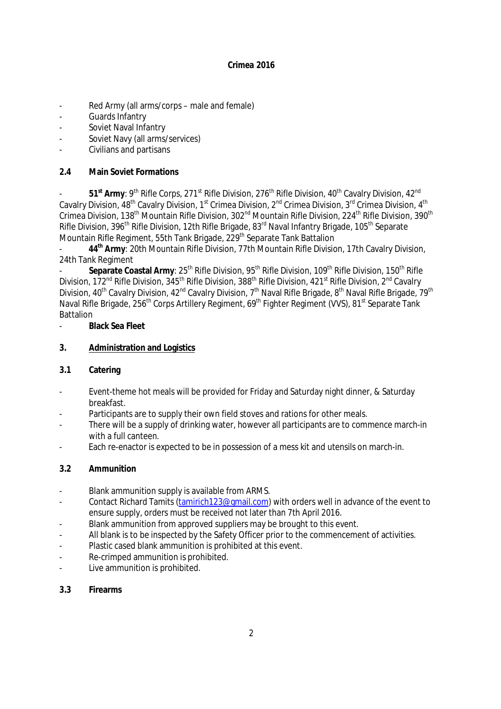- Red Army (all arms/corps male and female)
- Guards Infantry
- Soviet Naval Infantry
- Soviet Navy (all arms/services)
- Civilians and partisans

## **2.4 Main Soviet Formations**

51<sup>st</sup> Army: 9<sup>th</sup> Rifle Corps, 271<sup>st</sup> Rifle Division, 276<sup>th</sup> Rifle Division, 40<sup>th</sup> Cavalry Division, 42<sup>nd</sup> Cavalry Division, 48<sup>th</sup> Cavalry Division, 1<sup>st</sup> Crimea Division, 2<sup>nd</sup> Crimea Division, 3<sup>rd</sup> Crimea Division, 4<sup>th</sup> Crimea Division, 138<sup>th</sup> Mountain Rifle Division, 302<sup>nd</sup> Mountain Rifle Division, 224<sup>th</sup> Rifle Division, 390<sup>th</sup> Rifle Division, 396<sup>th</sup> Rifle Division, 12th Rifle Brigade, 83<sup>rd</sup> Naval Infantry Brigade, 105<sup>th</sup> Separate Mountain Rifle Regiment, 55th Tank Brigade, 229<sup>th</sup> Separate Tank Battalion

- **44th Army**: 20th Mountain Rifle Division, 77th Mountain Rifle Division, 17th Cavalry Division, 24th Tank Regiment

Separate Coastal Army: 25<sup>th</sup> Rifle Division, 95<sup>th</sup> Rifle Division, 109<sup>th</sup> Rifle Division, 150<sup>th</sup> Rifle Division, 172<sup>nd</sup> Rifle Division, 345<sup>th</sup> Rifle Division, 388<sup>th</sup> Rifle Division, 421<sup>st</sup> Rifle Division, 2<sup>nd</sup> Cavalry Division, 40<sup>th</sup> Cavalry Division, 42<sup>nd</sup> Cavalry Division, 7<sup>th</sup> Naval Rifle Brigade, 8<sup>th</sup> Naval Rifle Brigade, 79<sup>th</sup> Naval Rifle Brigade, 256<sup>th</sup> Corps Artillery Regiment, 69<sup>th</sup> Fighter Regiment (VVS), 81<sup>st</sup> Separate Tank **Battalion** 

- **Black Sea Fleet**

## **3. Administration and Logistics**

- **3.1 Catering**
- Event-theme hot meals will be provided for Friday and Saturday night dinner, & Saturday breakfast.
- Participants are to supply their own field stoves and rations for other meals.
- There will be a supply of drinking water, however all participants are to commence march-in with a full canteen.
- Each re-enactor is expected to be in possession of a mess kit and utensils on march-in.

## **3.2 Ammunition**

- Blank ammunition supply is available from ARMS.
- Contact Richard Tamits [\(tamirich123@gmail.com\)](mailto:tamirich123@gmail.com) with orders well in advance of the event to ensure supply, orders must be received not later than 7th April 2016.
- Blank ammunition from approved suppliers may be brought to this event.
- All blank is to be inspected by the Safety Officer prior to the commencement of activities.
- Plastic cased blank ammunition is prohibited at this event.
- Re-crimped ammunition is prohibited.
- Live ammunition is prohibited.
- **3.3 Firearms**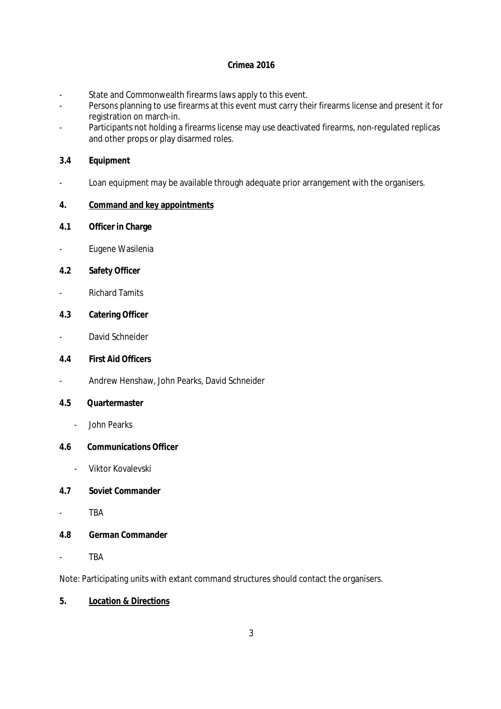- State and Commonwealth firearms laws apply to this event.
- Persons planning to use firearms at this event must carry their firearms license and present it for registration on march-in.
- Participants not holding a firearms license may use deactivated firearms, non-regulated replicas and other props or play disarmed roles.
- **3.4 Equipment**
- Loan equipment may be available through adequate prior arrangement with the organisers.
- **4. Command and key appointments**
- **4.1 Officer in Charge**
- Eugene Wasilenia
- **4.2 Safety Officer**
- Richard Tamits
- **4.3 Catering Officer**
- David Schneider
- **4.4 First Aid Officers**
- Andrew Henshaw, John Pearks, David Schneider
- **4.5 Quartermaster** 
	- John Pearks
- **4.6 Communications Officer** 
	- Viktor Kovalevski
- **4.7 Soviet Commander**
- TBA
- **4.8 German Commander**
- TBA

Note: Participating units with extant command structures should contact the organisers.

**5. Location & Directions**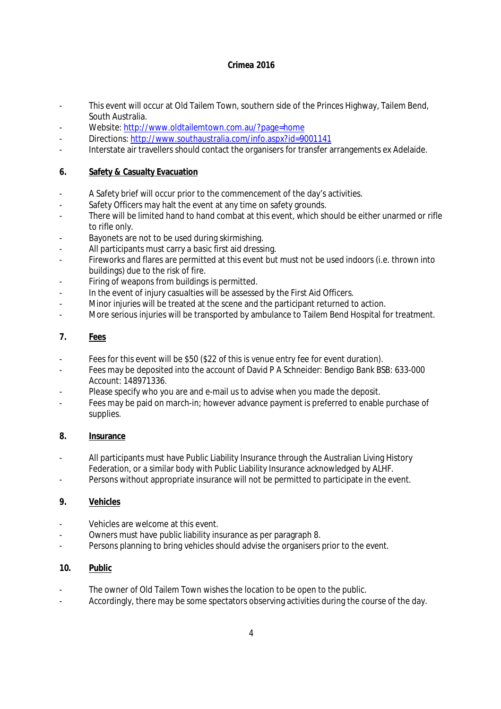- This event will occur at Old Tailem Town, southern side of the Princes Highway, Tailem Bend, South Australia.
- Website:<http://www.oldtailemtown.com.au/?page=home>
- Directions:<http://www.southaustralia.com/info.aspx?id=9001141>
- Interstate air travellers should contact the organisers for transfer arrangements ex Adelaide.

## **6. Safety & Casualty Evacuation**

- A Safety brief will occur prior to the commencement of the day's activities.
- Safety Officers may halt the event at any time on safety grounds.
- There will be limited hand to hand combat at this event, which should be either unarmed or rifle to rifle only.
- Bayonets are not to be used during skirmishing.
- All participants must carry a basic first aid dressing.
- Fireworks and flares are permitted at this event but must not be used indoors (i.e. thrown into buildings) due to the risk of fire.
- Firing of weapons from buildings is permitted.
- In the event of injury casualties will be assessed by the First Aid Officers.
- Minor injuries will be treated at the scene and the participant returned to action.
- More serious injuries will be transported by ambulance to Tailem Bend Hospital for treatment.

## **7. Fees**

- Fees for this event will be \$50 (\$22 of this is venue entry fee for event duration).
- Fees may be deposited into the account of David P A Schneider: Bendigo Bank BSB: 633-000 Account: 148971336.
- Please specify who you are and e-mail us to advise when you made the deposit.
- Fees may be paid on march-in; however advance payment is preferred to enable purchase of supplies.

## **8. Insurance**

- All participants must have Public Liability Insurance through the Australian Living History Federation, or a similar body with Public Liability Insurance acknowledged by ALHF.
- Persons without appropriate insurance will not be permitted to participate in the event.

## **9. Vehicles**

- Vehicles are welcome at this event.
- Owners must have public liability insurance as per paragraph 8.
- Persons planning to bring vehicles should advise the organisers prior to the event.

# **10. Public**

- The owner of Old Tailem Town wishes the location to be open to the public.
- Accordingly, there may be some spectators observing activities during the course of the day.